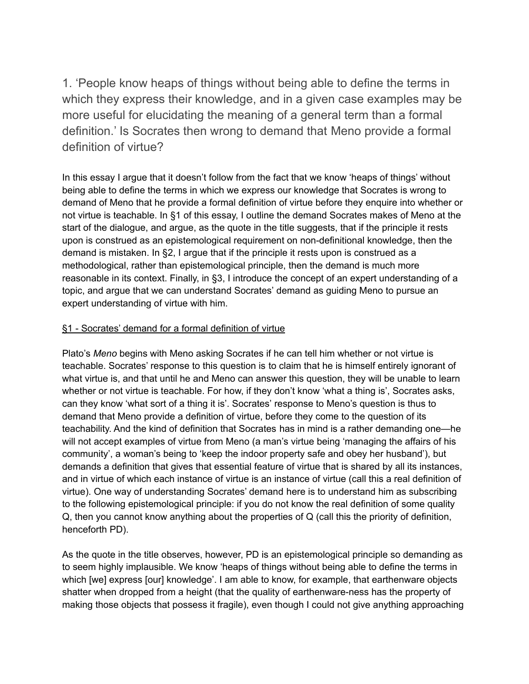1. 'People know heaps of things without being able to define the terms in which they express their knowledge, and in a given case examples may be more useful for elucidating the meaning of a general term than a formal definition.' Is Socrates then wrong to demand that Meno provide a formal definition of virtue?

In this essay I argue that it doesn't follow from the fact that we know 'heaps of things' without being able to define the terms in which we express our knowledge that Socrates is wrong to demand of Meno that he provide a formal definition of virtue before they enquire into whether or not virtue is teachable. In §1 of this essay, I outline the demand Socrates makes of Meno at the start of the dialogue, and argue, as the quote in the title suggests, that if the principle it rests upon is construed as an epistemological requirement on non-definitional knowledge, then the demand is mistaken. In §2, I argue that if the principle it rests upon is construed as a methodological, rather than epistemological principle, then the demand is much more reasonable in its context. Finally, in §3, I introduce the concept of an expert understanding of a topic, and argue that we can understand Socrates' demand as guiding Meno to pursue an expert understanding of virtue with him.

## §1 - Socrates' demand for a formal definition of virtue

Plato's *Meno* begins with Meno asking Socrates if he can tell him whether or not virtue is teachable. Socrates' response to this question is to claim that he is himself entirely ignorant of what virtue is, and that until he and Meno can answer this question, they will be unable to learn whether or not virtue is teachable. For how, if they don't know 'what a thing is', Socrates asks, can they know 'what sort of a thing it is'. Socrates' response to Meno's question is thus to demand that Meno provide a definition of virtue, before they come to the question of its teachability. And the kind of definition that Socrates has in mind is a rather demanding one—he will not accept examples of virtue from Meno (a man's virtue being 'managing the affairs of his community', a woman's being to 'keep the indoor property safe and obey her husband'), but demands a definition that gives that essential feature of virtue that is shared by all its instances, and in virtue of which each instance of virtue is an instance of virtue (call this a real definition of virtue). One way of understanding Socrates' demand here is to understand him as subscribing to the following epistemological principle: if you do not know the real definition of some quality Q, then you cannot know anything about the properties of Q (call this the priority of definition, henceforth PD).

As the quote in the title observes, however, PD is an epistemological principle so demanding as to seem highly implausible. We know 'heaps of things without being able to define the terms in which [we] express [our] knowledge'. I am able to know, for example, that earthenware objects shatter when dropped from a height (that the quality of earthenware-ness has the property of making those objects that possess it fragile), even though I could not give anything approaching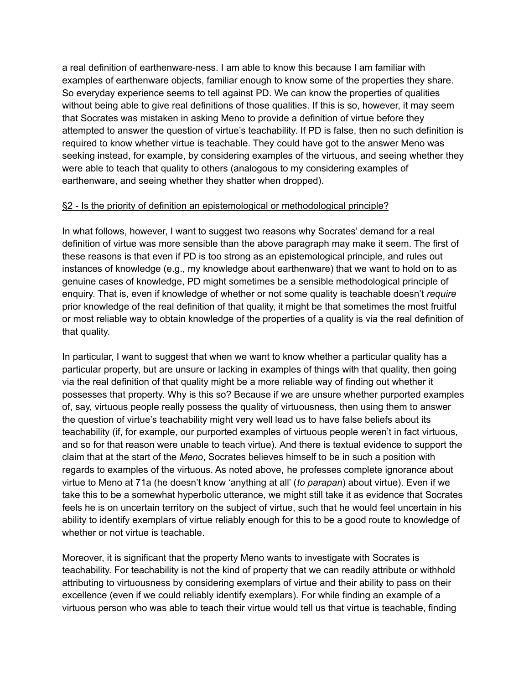a real definition of earthenware-ness. I am able to know this because I am familiar with examples of earthenware objects, familiar enough to know some of the properties they share. So everyday experience seems to tell against PD. We can know the properties of qualities without being able to give real definitions of those qualities. If this is so, however, it may seem that Socrates was mistaken in asking Meno to provide a definition of virtue before they attempted to answer the question of virtue's teachability. If PD is false, then no such definition is required to know whether virtue is teachable. They could have got to the answer Meno was seeking instead, for example, by considering examples of the virtuous, and seeing whether they were able to teach that quality to others (analogous to my considering examples of earthenware, and seeing whether they shatter when dropped).

#### §2 - Is the priority of definition an epistemological or methodological principle?

In what follows, however, I want to suggest two reasons why Socrates' demand for a real definition of virtue was more sensible than the above paragraph may make it seem. The first of these reasons is that even if PD is too strong as an epistemological principle, and rules out instances of knowledge (e.g., my knowledge about earthenware) that we want to hold on to as genuine cases of knowledge, PD might sometimes be a sensible methodological principle of enquiry. That is, even if knowledge of whether or not some quality is teachable doesn't *require* prior knowledge of the real definition of that quality, it might be that sometimes the most fruitful or most reliable way to obtain knowledge of the properties of a quality is via the real definition of that quality.

In particular, I want to suggest that when we want to know whether a particular quality has a particular property, but are unsure or lacking in examples of things with that quality, then going via the real definition of that quality might be a more reliable way of finding out whether it possesses that property. Why is this so? Because if we are unsure whether purported examples of, say, virtuous people really possess the quality of virtuousness, then using them to answer the question of virtue's teachability might very well lead us to have false beliefs about its teachability (if, for example, our purported examples of virtuous people weren't in fact virtuous, and so for that reason were unable to teach virtue). And there is textual evidence to support the claim that at the start of the *Meno*, Socrates believes himself to be in such a position with regards to examples of the virtuous. As noted above, he professes complete ignorance about virtue to Meno at 71a (he doesn't know 'anything at all' (*to parapan*) about virtue). Even if we take this to be a somewhat hyperbolic utterance, we might still take it as evidence that Socrates feels he is on uncertain territory on the subject of virtue, such that he would feel uncertain in his ability to identify exemplars of virtue reliably enough for this to be a good route to knowledge of whether or not virtue is teachable.

Moreover, it is significant that the property Meno wants to investigate with Socrates is teachability. For teachability is not the kind of property that we can readily attribute or withhold attributing to virtuousness by considering exemplars of virtue and their ability to pass on their excellence (even if we could reliably identify exemplars). For while finding an example of a virtuous person who was able to teach their virtue would tell us that virtue is teachable, finding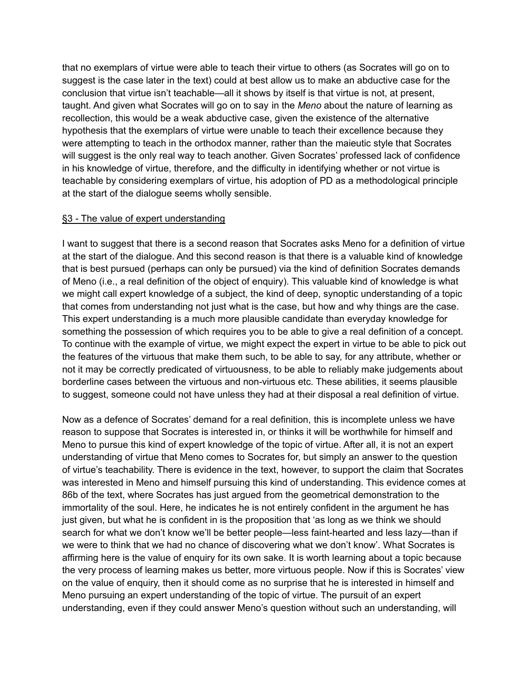that no exemplars of virtue were able to teach their virtue to others (as Socrates will go on to suggest is the case later in the text) could at best allow us to make an abductive case for the conclusion that virtue isn't teachable—all it shows by itself is that virtue is not, at present, taught. And given what Socrates will go on to say in the *Meno* about the nature of learning as recollection, this would be a weak abductive case, given the existence of the alternative hypothesis that the exemplars of virtue were unable to teach their excellence because they were attempting to teach in the orthodox manner, rather than the maieutic style that Socrates will suggest is the only real way to teach another. Given Socrates' professed lack of confidence in his knowledge of virtue, therefore, and the difficulty in identifying whether or not virtue is teachable by considering exemplars of virtue, his adoption of PD as a methodological principle at the start of the dialogue seems wholly sensible.

## §3 - The value of expert understanding

I want to suggest that there is a second reason that Socrates asks Meno for a definition of virtue at the start of the dialogue. And this second reason is that there is a valuable kind of knowledge that is best pursued (perhaps can only be pursued) via the kind of definition Socrates demands of Meno (i.e., a real definition of the object of enquiry). This valuable kind of knowledge is what we might call expert knowledge of a subject, the kind of deep, synoptic understanding of a topic that comes from understanding not just what is the case, but how and why things are the case. This expert understanding is a much more plausible candidate than everyday knowledge for something the possession of which requires you to be able to give a real definition of a concept. To continue with the example of virtue, we might expect the expert in virtue to be able to pick out the features of the virtuous that make them such, to be able to say, for any attribute, whether or not it may be correctly predicated of virtuousness, to be able to reliably make judgements about borderline cases between the virtuous and non-virtuous etc. These abilities, it seems plausible to suggest, someone could not have unless they had at their disposal a real definition of virtue.

Now as a defence of Socrates' demand for a real definition, this is incomplete unless we have reason to suppose that Socrates is interested in, or thinks it will be worthwhile for himself and Meno to pursue this kind of expert knowledge of the topic of virtue. After all, it is not an expert understanding of virtue that Meno comes to Socrates for, but simply an answer to the question of virtue's teachability. There is evidence in the text, however, to support the claim that Socrates was interested in Meno and himself pursuing this kind of understanding. This evidence comes at 86b of the text, where Socrates has just argued from the geometrical demonstration to the immortality of the soul. Here, he indicates he is not entirely confident in the argument he has just given, but what he is confident in is the proposition that 'as long as we think we should search for what we don't know we'll be better people—less faint-hearted and less lazy—than if we were to think that we had no chance of discovering what we don't know'. What Socrates is affirming here is the value of enquiry for its own sake. It is worth learning about a topic because the very process of learning makes us better, more virtuous people. Now if this is Socrates' view on the value of enquiry, then it should come as no surprise that he is interested in himself and Meno pursuing an expert understanding of the topic of virtue. The pursuit of an expert understanding, even if they could answer Meno's question without such an understanding, will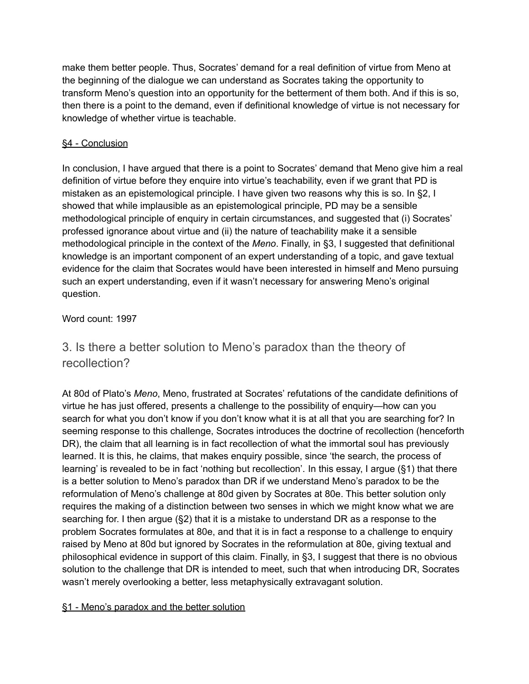make them better people. Thus, Socrates' demand for a real definition of virtue from Meno at the beginning of the dialogue we can understand as Socrates taking the opportunity to transform Meno's question into an opportunity for the betterment of them both. And if this is so, then there is a point to the demand, even if definitional knowledge of virtue is not necessary for knowledge of whether virtue is teachable.

# §4 - Conclusion

In conclusion, I have argued that there is a point to Socrates' demand that Meno give him a real definition of virtue before they enquire into virtue's teachability, even if we grant that PD is mistaken as an epistemological principle. I have given two reasons why this is so. In §2, I showed that while implausible as an epistemological principle, PD may be a sensible methodological principle of enquiry in certain circumstances, and suggested that (i) Socrates' professed ignorance about virtue and (ii) the nature of teachability make it a sensible methodological principle in the context of the *Meno*. Finally, in §3, I suggested that definitional knowledge is an important component of an expert understanding of a topic, and gave textual evidence for the claim that Socrates would have been interested in himself and Meno pursuing such an expert understanding, even if it wasn't necessary for answering Meno's original question.

# Word count: 1997

# 3. Is there a better solution to Meno's paradox than the theory of recollection?

At 80d of Plato's *Meno*, Meno, frustrated at Socrates' refutations of the candidate definitions of virtue he has just offered, presents a challenge to the possibility of enquiry—how can you search for what you don't know if you don't know what it is at all that you are searching for? In seeming response to this challenge, Socrates introduces the doctrine of recollection (henceforth DR), the claim that all learning is in fact recollection of what the immortal soul has previously learned. It is this, he claims, that makes enquiry possible, since 'the search, the process of learning' is revealed to be in fact 'nothing but recollection'. In this essay, I argue (§1) that there is a better solution to Meno's paradox than DR if we understand Meno's paradox to be the reformulation of Meno's challenge at 80d given by Socrates at 80e. This better solution only requires the making of a distinction between two senses in which we might know what we are searching for. I then argue (§2) that it is a mistake to understand DR as a response to the problem Socrates formulates at 80e, and that it is in fact a response to a challenge to enquiry raised by Meno at 80d but ignored by Socrates in the reformulation at 80e, giving textual and philosophical evidence in support of this claim. Finally, in §3, I suggest that there is no obvious solution to the challenge that DR is intended to meet, such that when introducing DR, Socrates wasn't merely overlooking a better, less metaphysically extravagant solution.

# §1 - Meno's paradox and the better solution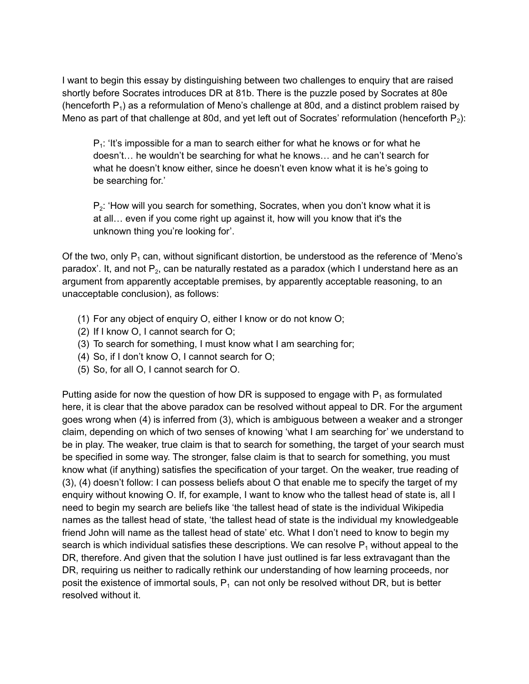I want to begin this essay by distinguishing between two challenges to enquiry that are raised shortly before Socrates introduces DR at 81b. There is the puzzle posed by Socrates at 80e (henceforth  $P_1$ ) as a reformulation of Meno's challenge at 80d, and a distinct problem raised by Meno as part of that challenge at 80d, and yet left out of Socrates' reformulation (henceforth  $P_2$ ):

 $P_1$ : 'It's impossible for a man to search either for what he knows or for what he doesn't… he wouldn't be searching for what he knows… and he can't search for what he doesn't know either, since he doesn't even know what it is he's going to be searching for.'

 $P_2$ : 'How will you search for something, Socrates, when you don't know what it is at all… even if you come right up against it, how will you know that it's the unknown thing you're looking for'.

Of the two, only  $P_1$  can, without significant distortion, be understood as the reference of 'Meno's paradox'. It, and not  $P_2$ , can be naturally restated as a paradox (which I understand here as an argument from apparently acceptable premises, by apparently acceptable reasoning, to an unacceptable conclusion), as follows:

- (1) For any object of enquiry O, either I know or do not know O;
- (2) If I know O, I cannot search for O;
- (3) To search for something, I must know what I am searching for;
- (4) So, if I don't know O, I cannot search for O;
- (5) So, for all O, I cannot search for O.

Putting aside for now the question of how DR is supposed to engage with  $P_1$  as formulated here, it is clear that the above paradox can be resolved without appeal to DR. For the argument goes wrong when (4) is inferred from (3), which is ambiguous between a weaker and a stronger claim, depending on which of two senses of knowing 'what I am searching for' we understand to be in play. The weaker, true claim is that to search for something, the target of your search must be specified in some way. The stronger, false claim is that to search for something, you must know what (if anything) satisfies the specification of your target. On the weaker, true reading of (3), (4) doesn't follow: I can possess beliefs about O that enable me to specify the target of my enquiry without knowing O. If, for example, I want to know who the tallest head of state is, all I need to begin my search are beliefs like 'the tallest head of state is the individual Wikipedia names as the tallest head of state, 'the tallest head of state is the individual my knowledgeable friend John will name as the tallest head of state' etc. What I don't need to know to begin my search is which individual satisfies these descriptions. We can resolve  $P_1$  without appeal to the DR, therefore. And given that the solution I have just outlined is far less extravagant than the DR, requiring us neither to radically rethink our understanding of how learning proceeds, nor posit the existence of immortal souls,  $P_1$  can not only be resolved without DR, but is better resolved without it.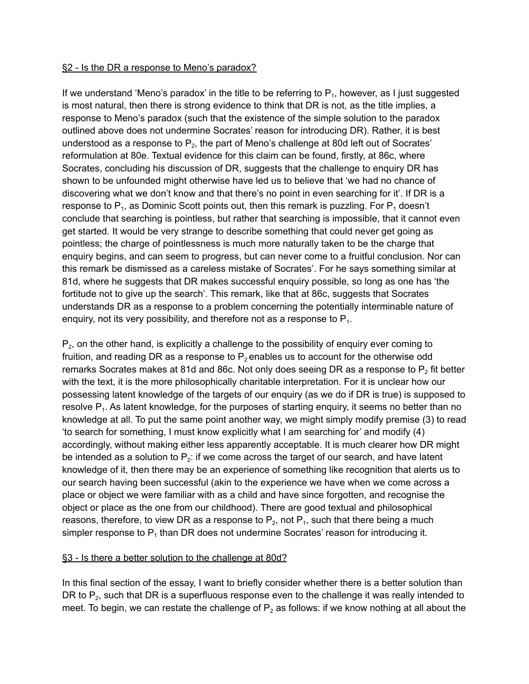#### §2 - Is the DR a response to Meno's paradox?

If we understand 'Meno's paradox' in the title to be referring to  $P_1$ , however, as I just suggested is most natural, then there is strong evidence to think that DR is not, as the title implies, a response to Meno's paradox (such that the existence of the simple solution to the paradox outlined above does not undermine Socrates' reason for introducing DR). Rather, it is best understood as a response to  $\mathsf{P}_2$ , the part of Meno's challenge at 80d left out of Socrates' reformulation at 80e. Textual evidence for this claim can be found, firstly, at 86c, where Socrates, concluding his discussion of DR, suggests that the challenge to enquiry DR has shown to be unfounded might otherwise have led us to believe that 'we had no chance of discovering what we don't know and that there's no point in even searching for it'. If DR is a response to P<sub>1</sub>, as Dominic Scott points out, then this remark is puzzling. For P<sub>1</sub> doesn't conclude that searching is pointless, but rather that searching is impossible, that it cannot even get started. It would be very strange to describe something that could never get going as pointless; the charge of pointlessness is much more naturally taken to be the charge that enquiry begins, and can seem to progress, but can never come to a fruitful conclusion. Nor can this remark be dismissed as a careless mistake of Socrates'. For he says something similar at 81d, where he suggests that DR makes successful enquiry possible, so long as one has 'the fortitude not to give up the search'. This remark, like that at 86c, suggests that Socrates understands DR as a response to a problem concerning the potentially interminable nature of enquiry, not its very possibility, and therefore not as a response to  $P_1$ .

 $P_2$ , on the other hand, is explicitly a challenge to the possibility of enquiry ever coming to fruition, and reading DR as a response to  $P_2$  enables us to account for the otherwise odd remarks Socrates makes at 81d and 86c. Not only does seeing DR as a response to  $\mathsf{P}_2$  fit better with the text, it is the more philosophically charitable interpretation. For it is unclear how our possessing latent knowledge of the targets of our enquiry (as we do if DR is true) is supposed to resolve  $P_1$ . As latent knowledge, for the purposes of starting enquiry, it seems no better than no knowledge at all. To put the same point another way, we might simply modify premise (3) to read 'to search for something, I must know explicitly what I am searching for' and modify (4) accordingly, without making either less apparently acceptable. It is much clearer how DR might be intended as a solution to  $P_2$ : if we come across the target of our search, and have latent knowledge of it, then there may be an experience of something like recognition that alerts us to our search having been successful (akin to the experience we have when we come across a place or object we were familiar with as a child and have since forgotten, and recognise the object or place as the one from our childhood). There are good textual and philosophical reasons, therefore, to view DR as a response to  $P_2$ , not  $P_1$ , such that there being a much simpler response to  $P_1$  than DR does not undermine Socrates' reason for introducing it.

#### §3 - Is there a better solution to the challenge at 80d?

In this final section of the essay, I want to briefly consider whether there is a better solution than DR to  $P_2$ , such that DR is a superfluous response even to the challenge it was really intended to meet. To begin, we can restate the challenge of  $P<sub>2</sub>$  as follows: if we know nothing at all about the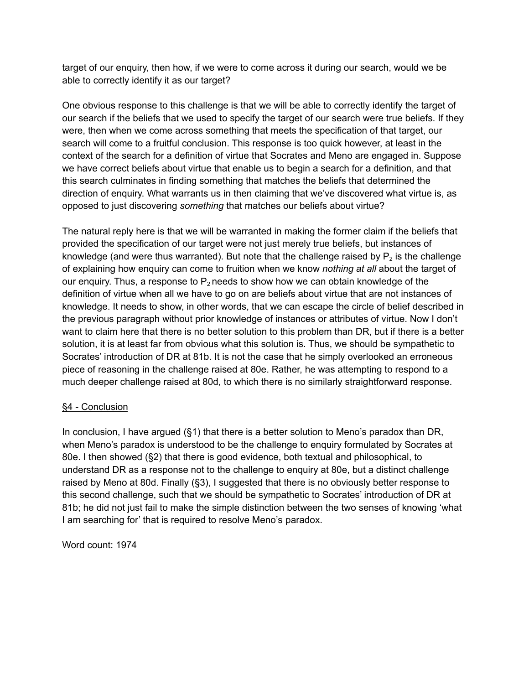target of our enquiry, then how, if we were to come across it during our search, would we be able to correctly identify it as our target?

One obvious response to this challenge is that we will be able to correctly identify the target of our search if the beliefs that we used to specify the target of our search were true beliefs. If they were, then when we come across something that meets the specification of that target, our search will come to a fruitful conclusion. This response is too quick however, at least in the context of the search for a definition of virtue that Socrates and Meno are engaged in. Suppose we have correct beliefs about virtue that enable us to begin a search for a definition, and that this search culminates in finding something that matches the beliefs that determined the direction of enquiry. What warrants us in then claiming that we've discovered what virtue is, as opposed to just discovering *something* that matches our beliefs about virtue?

The natural reply here is that we will be warranted in making the former claim if the beliefs that provided the specification of our target were not just merely true beliefs, but instances of knowledge (and were thus warranted). But note that the challenge raised by  $\mathsf{P}_2$  is the challenge of explaining how enquiry can come to fruition when we know *nothing at all* about the target of our enquiry. Thus, a response to  $P_2$  needs to show how we can obtain knowledge of the definition of virtue when all we have to go on are beliefs about virtue that are not instances of knowledge. It needs to show, in other words, that we can escape the circle of belief described in the previous paragraph without prior knowledge of instances or attributes of virtue. Now I don't want to claim here that there is no better solution to this problem than DR, but if there is a better solution, it is at least far from obvious what this solution is. Thus, we should be sympathetic to Socrates' introduction of DR at 81b. It is not the case that he simply overlooked an erroneous piece of reasoning in the challenge raised at 80e. Rather, he was attempting to respond to a much deeper challenge raised at 80d, to which there is no similarly straightforward response.

# §4 - Conclusion

In conclusion, I have argued (§1) that there is a better solution to Meno's paradox than DR, when Meno's paradox is understood to be the challenge to enquiry formulated by Socrates at 80e. I then showed (§2) that there is good evidence, both textual and philosophical, to understand DR as a response not to the challenge to enquiry at 80e, but a distinct challenge raised by Meno at 80d. Finally (§3), I suggested that there is no obviously better response to this second challenge, such that we should be sympathetic to Socrates' introduction of DR at 81b; he did not just fail to make the simple distinction between the two senses of knowing 'what I am searching for' that is required to resolve Meno's paradox.

Word count: 1974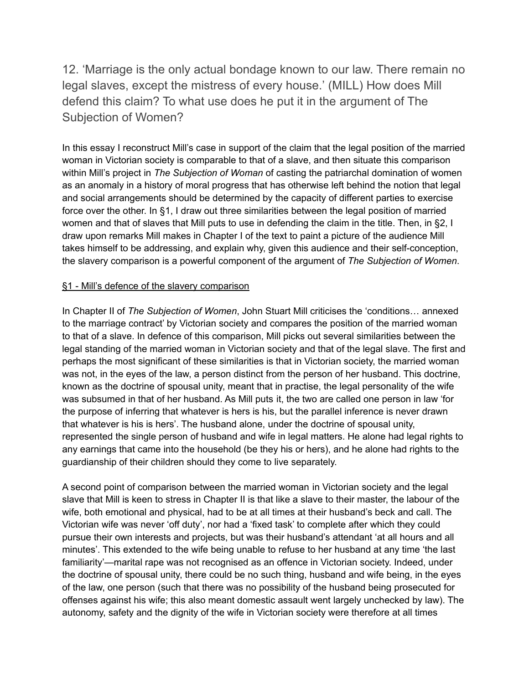12. 'Marriage is the only actual bondage known to our law. There remain no legal slaves, except the mistress of every house.' (MILL) How does Mill defend this claim? To what use does he put it in the argument of The Subjection of Women?

In this essay I reconstruct Mill's case in support of the claim that the legal position of the married woman in Victorian society is comparable to that of a slave, and then situate this comparison within Mill's project in *The Subjection of Woman* of casting the patriarchal domination of women as an anomaly in a history of moral progress that has otherwise left behind the notion that legal and social arrangements should be determined by the capacity of different parties to exercise force over the other. In §1, I draw out three similarities between the legal position of married women and that of slaves that Mill puts to use in defending the claim in the title. Then, in §2, I draw upon remarks Mill makes in Chapter I of the text to paint a picture of the audience Mill takes himself to be addressing, and explain why, given this audience and their self-conception, the slavery comparison is a powerful component of the argument of *The Subjection of Women*.

## §1 - Mill's defence of the slavery comparison

In Chapter II of *The Subjection of Women*, John Stuart Mill criticises the 'conditions… annexed to the marriage contract' by Victorian society and compares the position of the married woman to that of a slave. In defence of this comparison, Mill picks out several similarities between the legal standing of the married woman in Victorian society and that of the legal slave. The first and perhaps the most significant of these similarities is that in Victorian society, the married woman was not, in the eyes of the law, a person distinct from the person of her husband. This doctrine, known as the doctrine of spousal unity, meant that in practise, the legal personality of the wife was subsumed in that of her husband. As Mill puts it, the two are called one person in law 'for the purpose of inferring that whatever is hers is his, but the parallel inference is never drawn that whatever is his is hers'. The husband alone, under the doctrine of spousal unity, represented the single person of husband and wife in legal matters. He alone had legal rights to any earnings that came into the household (be they his or hers), and he alone had rights to the guardianship of their children should they come to live separately.

A second point of comparison between the married woman in Victorian society and the legal slave that Mill is keen to stress in Chapter II is that like a slave to their master, the labour of the wife, both emotional and physical, had to be at all times at their husband's beck and call. The Victorian wife was never 'off duty', nor had a 'fixed task' to complete after which they could pursue their own interests and projects, but was their husband's attendant 'at all hours and all minutes'. This extended to the wife being unable to refuse to her husband at any time 'the last familiarity'—marital rape was not recognised as an offence in Victorian society. Indeed, under the doctrine of spousal unity, there could be no such thing, husband and wife being, in the eyes of the law, one person (such that there was no possibility of the husband being prosecuted for offenses against his wife; this also meant domestic assault went largely unchecked by law). The autonomy, safety and the dignity of the wife in Victorian society were therefore at all times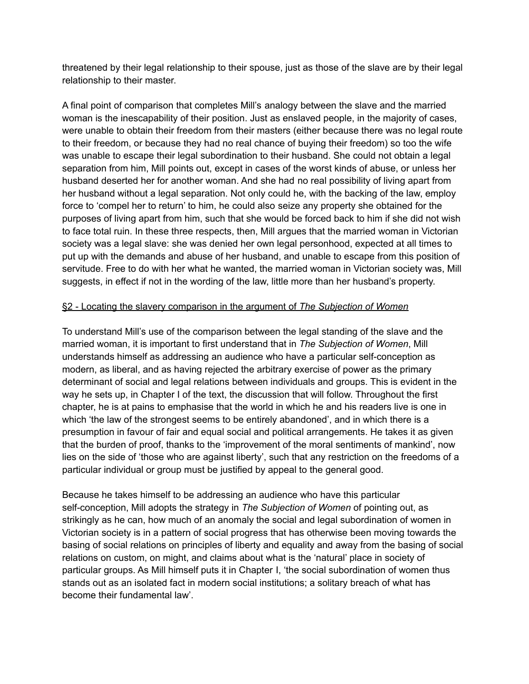threatened by their legal relationship to their spouse, just as those of the slave are by their legal relationship to their master.

A final point of comparison that completes Mill's analogy between the slave and the married woman is the inescapability of their position. Just as enslaved people, in the majority of cases, were unable to obtain their freedom from their masters (either because there was no legal route to their freedom, or because they had no real chance of buying their freedom) so too the wife was unable to escape their legal subordination to their husband. She could not obtain a legal separation from him, Mill points out, except in cases of the worst kinds of abuse, or unless her husband deserted her for another woman. And she had no real possibility of living apart from her husband without a legal separation. Not only could he, with the backing of the law, employ force to 'compel her to return' to him, he could also seize any property she obtained for the purposes of living apart from him, such that she would be forced back to him if she did not wish to face total ruin. In these three respects, then, Mill argues that the married woman in Victorian society was a legal slave: she was denied her own legal personhood, expected at all times to put up with the demands and abuse of her husband, and unable to escape from this position of servitude. Free to do with her what he wanted, the married woman in Victorian society was, Mill suggests, in effect if not in the wording of the law, little more than her husband's property.

#### §2 - Locating the slavery comparison in the argument of *The Subjection of Women*

To understand Mill's use of the comparison between the legal standing of the slave and the married woman, it is important to first understand that in *The Subjection of Women*, Mill understands himself as addressing an audience who have a particular self-conception as modern, as liberal, and as having rejected the arbitrary exercise of power as the primary determinant of social and legal relations between individuals and groups. This is evident in the way he sets up, in Chapter I of the text, the discussion that will follow. Throughout the first chapter, he is at pains to emphasise that the world in which he and his readers live is one in which 'the law of the strongest seems to be entirely abandoned', and in which there is a presumption in favour of fair and equal social and political arrangements. He takes it as given that the burden of proof, thanks to the 'improvement of the moral sentiments of mankind', now lies on the side of 'those who are against liberty', such that any restriction on the freedoms of a particular individual or group must be justified by appeal to the general good.

Because he takes himself to be addressing an audience who have this particular self-conception, Mill adopts the strategy in *The Subjection of Women* of pointing out, as strikingly as he can, how much of an anomaly the social and legal subordination of women in Victorian society is in a pattern of social progress that has otherwise been moving towards the basing of social relations on principles of liberty and equality and away from the basing of social relations on custom, on might, and claims about what is the 'natural' place in society of particular groups. As Mill himself puts it in Chapter I, 'the social subordination of women thus stands out as an isolated fact in modern social institutions; a solitary breach of what has become their fundamental law'.